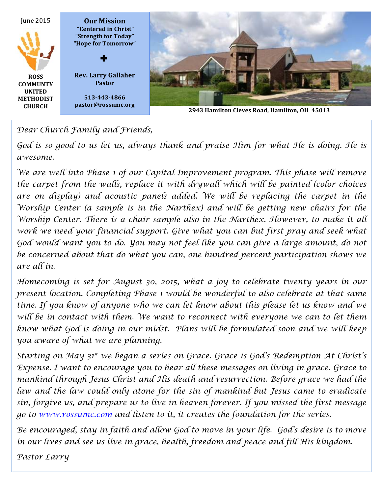

*Dear Church Family and Friends,*

God is so good to us let us, always thank and praise Him for what He is doing. He is *awesome.*

We are well into Phase 1 of our Capital Improvement program. This phase will remove *the carpet from the walls, replace it with drywall which will be painted (color choices*  are on display) and acoustic panels added. We will be replacing the carpet in the *Worship Center (a sample is in the Narthex) and will be getting new chairs for the Worship Center. There is a chair sample also in the Narthex. However, to make it all*  work we need your financial support. Give what you can but first pray and seek what *God would want you to do. You may not feel like you can give a large amount, do not be concerned about that do what you can, one hundred percent participation shows we are all in.*

*Homecoming is set for August 30, 2015, what a joy to celebrate twenty years in our present location. Completing Phase 1 would be wonderful to also celebrate at that same time. If you know of anyone who we can let know about this please let us know and we*  will be in contact with them. We want to reconnect with everyone we can to let them *know what God is doing in our midst. Plans will be formulated soon and we will keep you aware of what we are planning.* 

*Starting on May 31st we began a series on Grace. Grace is God's Redemption At Christ's Expense. I want to encourage you to hear all these messages on living in grace. Grace to mankind through Jesus Christ and His death and resurrection. Before grace we had the law and the law could only atone for the sin of mankind but Jesus came to eradicate sin, forgive us, and prepare us to live in heaven forever. If you missed the first message go to www.rossumc.com and listen to it, it creates the foundation for the series.*

*Be encouraged, stay in faith and allow God to move in your life. God's desire is to move in our lives and see us live in grace, health, freedom and peace and fill His kingdom.*

*Pastor Larry*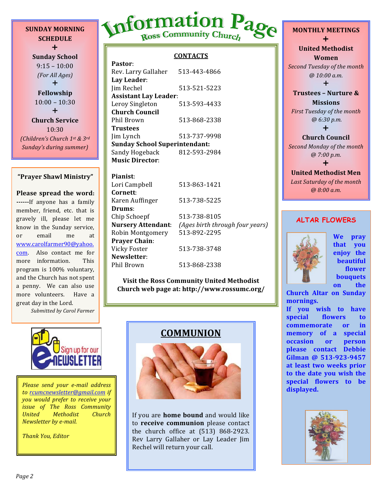**SUNDAY MORNING SCHEDULE**  $+$ 

**Sunday School**  $9:15 - 10:00$ *(For All Ages)*  $+$ **Fellowship**  $10:00 - 10:30$  $\div$ **Church Service** 10:30 *(Children's Church 1st & 3rd Sunday's during summer)*

#### **"Prayer Shawl Ministry"**

**Please spread the word: ------**If anyone has a family member, friend, etc. that is gravely ill, please let me know in the Sunday service, or email me at www.carolfarmer90@yahoo. com. Also contact me for more information. This program is 100% voluntary, and the Church has not spent a penny. We can also use more volunteers. Have a great day in the Lord.

*Submitted by Carol Farmer*

# Information Page

#### **CONTACTS**

| Pastor:                              |              |  |
|--------------------------------------|--------------|--|
| Rev. Larry Gallaher                  | 513-443-4866 |  |
| Lay Leader:                          |              |  |
| Jim Rechel                           | 513-521-5223 |  |
| <b>Assistant Lay Leader:</b>         |              |  |
| Leroy Singleton                      | 513-593-4433 |  |
| Church Council                       |              |  |
| Phil Brown                           | 513-868-2338 |  |
| Trustees                             |              |  |
| Jim Lynch                            | 513-737-9998 |  |
| <b>Sunday School Superintendant:</b> |              |  |
| Sandy Hogeback                       | 812-593-2984 |  |
| <b>Music Director:</b>               |              |  |

**Pianist**: Lori Campbell 513-863-1421 **Cornett**: Karen Auffinger 513-738-5225 **Drums**: Chip Schoepf 513-738-8105 **Nursery Attendant**: *(Ages birth through four years)* Robin Montgomery 513-892-2295 **Prayer Chain**: Vicky Foster 513-738-3748 **Newsletter**: Phil Brown 513-868-2338

**Visit the Ross Community United Methodist Church web page at: http://www.rossumc.org/**



to rcumcnewsletter@gmail.com if *you would prefer to receive your issue of The Ross Community United Methodist Church Newsletter by e-mail.* 

*Thank You, Editor*

#### **COMMUNION**



If you are **home bound** and would like to **receive communion** please contact the church office at  $(513)$  868-2923. Rev Larry Gallaher or Lay Leader Jim Rechel will return your call.

**MONTHLY MEETINGS**  $\ddagger$ **United Methodist Women Second Tuesday of the month** *@ 10:00 a.m.*  $\ddagger$ **Trustees - Nurture & Missions**

*First Tuesday of the month @ 6:30 p.m.*  $\ddagger$ 

#### **Church Council**

**Second Monday of the month** *@ 7:00 p.m.*  $\ddag$ 

#### **United Methodist Men** Last Saturday of the month *@ 8:00 a.m.*

#### **ALTAR FLOWERS**



**We pray that you enjoy** the **beautiful flower bouquets on** the

**Church Altar on Sunday mornings.**

If you wish to have special flowers to **commemorate** or in **memory** of a special **occasion** or **person please contact Debbie Gilman @ 513-923-9457**  at least two weeks prior to the date you wish the **special flowers to be** 

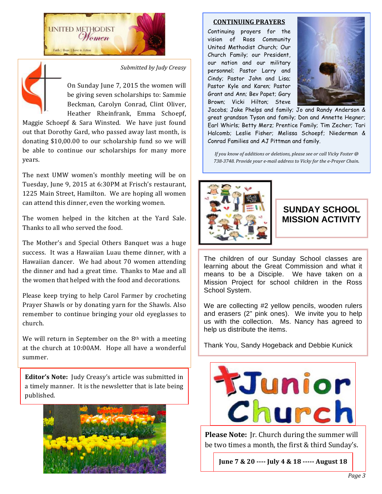



*Submitted by Judy Creasy*

On Sunday June 7, 2015 the women will be giving seven scholarships to: Sammie Beckman, Carolyn Conrad, Clint Oliver, Heather Rheinfrank, Emma Schoepf,

Maggie Schoepf & Sara Winsted. We have just found out that Dorothy Gard, who passed away last month, is donating \$10,00.00 to our scholarship fund so we will be able to continue our scholarships for many more years.

The next UMW women's monthly meeting will be on Tuesday, June 9, 2015 at 6:30PM at Frisch's restaurant, 1225 Main Street, Hamilton. We are hoping all women can attend this dinner, even the working women.

The women helped in the kitchen at the Yard Sale. Thanks to all who served the food.

The Mother's and Special Others Banquet was a huge success. It was a Hawaiian Luau theme dinner, with a Hawaiian dancer. We had about 70 women attending the dinner and had a great time. Thanks to Mae and all the women that helped with the food and decorations.

Please keep trying to help Carol Farmer by crocheting Prayer Shawls or by donating yarn for the Shawls. Also remember to continue bringing your old eyeglasses to church. 

We will return in September on the  $8<sup>th</sup>$  with a meeting at the church at 10:00AM. Hope all have a wonderful summer.

**Editor's Note:** Judy Creasy's article was submitted in a timely manner. It is the newsletter that is late being published.



#### **CONTINUING PRAYERS**

Continuing prayers for the vision of Ross Community United Methodist Church; Our Church Family; our President, our nation and our military personnel; Pastor Larry and Cindy; Pastor John and Lisa; Pastor Kyle and Karen; Pastor Grant and Ann; Bev Papet; Gary Brown; Vicki Hilton; Steve



Jacobs; Jake Phelps and family; Jo and Randy Anderson & great grandson Tyson and family; Don and Annette Hegner; Earl Whirls; Betty Merz; Prentice Family; Tim Zecher; Tari Halcomb; Leslie Fisher; Melissa Schoepf; Niederman & Conrad Families and AJ Pittman and family.

*If you know of additions or deletions, please see or call Vicky Foster* @ 738-3748. Provide your e-mail address to Vicky for the e-Prayer Chain.



#### **SUNDAY SCHOOL MISSION ACTIVITY**

The children of our Sunday School classes are learning about the Great Commission and what it means to be a Disciple. We have taken on a Mission Project for school children in the Ross School System.

We are collecting #2 yellow pencils, wooden rulers and erasers (2" pink ones). We invite you to help us with the collection. Ms. Nancy has agreed to help us distribute the items.

Thank You, Sandy Hogeback and Debbie Kunick



**Please Note:** Jr. Church during the summer will be two times a month, the first & third Sunday's.

June 7 & 20 ---- July 4 & 18 ----- August 18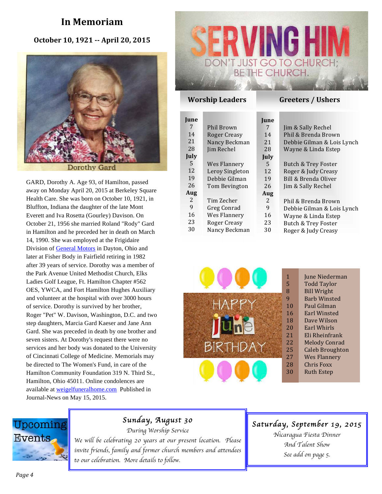#### **In Memoriam**

#### **October 10, 1921 -- April 20, 2015**



GARD, Dorothy A. Age 93, of Hamilton, passed away on Monday April 20, 2015 at Berkeley Square Health Care. She was born on October 10, 1921, in Bluffton, Indiana the daughter of the late Mont Everett and Iva Rosetta (Gourley) Davison. On October 21, 1956 she married Roland "Rody" Gard in Hamilton and he preceded her in death on March 14, 1990. She was employed at the Frigidaire Division of General Motors in Dayton, Ohio and later at Fisher Body in Fairfield retiring in 1982 after 39 years of service. Dorothy was a member of the Park Avenue United Methodist Church, Elks Ladies Golf League, Ft. Hamilton Chapter #562 OES, YWCA, and Fort Hamilton Hughes Auxiliary and volunteer at the hospital with over 3000 hours of service. Dorothy is survived by her brother, Roger "Pet" W. Davison, Washington, D.C. and two step daughters, Marcia Gard Kaeser and Jane Ann Gard. She was preceded in death by one brother and seven sisters. At Dorothy's request there were no services and her body was donated to the University of Cincinnati College of Medicine. Memorials may be directed to The Women's Fund, in care of the Hamilton Community Foundation 319 N. Third St., Hamilton, Ohio 45011. Online condolences are available at weigelfuneralhome.com Published in Journal-News on May 15, 2015.



#### **Worship Leaders Greeters** / Ushers

| <b>June</b> |                   | <b>June</b> |                            |
|-------------|-------------------|-------------|----------------------------|
| 7           | <b>Phil Brown</b> | 7           | Jim & Sally Rechel         |
| 14          | Roger Creasy      | 14          | Phil & Brenda Brown        |
| 21          | Nancy Beckman     | 21          | Debbie Gilman & Lois Lynch |
| 28          | Jim Rechel        | 28          | Wayne & Linda Estep        |
| July        |                   | July        |                            |
| 5           | Wes Flannery      | 5           | Butch & Trey Foster        |
| 12          | Leroy Singleton   | 12          | Roger & Judy Creasy        |
| 19          | Debbie Gilman     | 19          | Bill & Brenda Oliver       |
| 26          | Tom Bevington     | 26          | Jim & Sally Rechel         |
| Aug         |                   | Aug         |                            |
| 2           | Tim Zecher        | 2           | Phil & Brenda Brown        |
| 9           | Greg Conrad       | 9           | Debbie Gilman & Lois Lynch |
| 16          | Wes Flannery      | 16          | Wayne & Linda Estep        |
| 23          | Roger Creasy      | 23          | Butch & Trey Foster        |
| 30          | Nancy Beckman     | 30          | Roger & Judy Creasy        |



|  | June Niederman |
|--|----------------|
|--|----------------|

- Todd Taylor **Bill Wright**
- Barb Winsted
- Paul Gilman
- Earl Winsted 16
- Dave Wilson 18
- Earl Whirls 20
- Eli Rheinfrank 21
- **Melody Conrad** 22
- Caleb Broughton 25
- Wes Flannery 27
- **Chris** Foxx 28
	- Ruth Estep

## Upcoming **Events**

#### *Sunday, August 30*

*During Worship Service*

*We will be celebrating 20 years at our present location. Please invite friends, family and former church members and attendees to our celebration. More details to follow.*

#### *Saturday, September 19, 2015*

*Nicaragua Fiesta Dinner And Talent Show See add on page 5.*